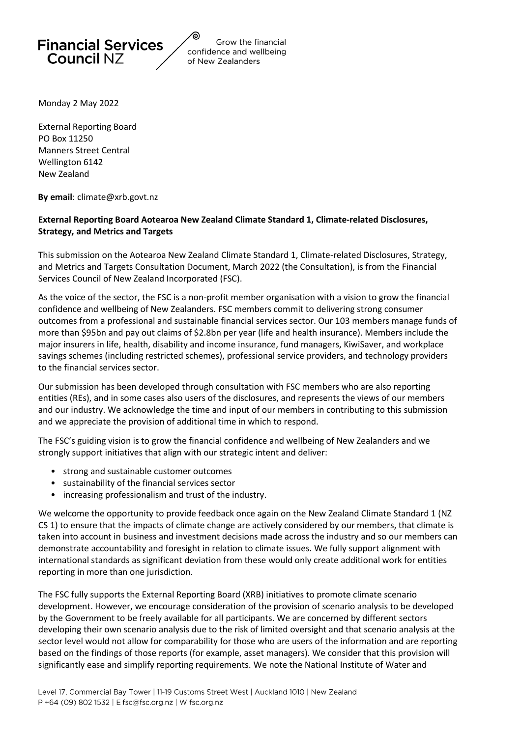

Grow the financial confidence and wellbeing of New Zealanders

Monday 2 May 2022

External Reporting Board PO Box 11250 Manners Street Central Wellington 6142 New Zealand

**By email**: climate@xrb.govt.nz

#### **External Reporting Board Aotearoa New Zealand Climate Standard 1, Climate-related Disclosures, Strategy, and Metrics and Targets**

This submission on the Aotearoa New Zealand Climate Standard 1, Climate-related Disclosures, Strategy, and Metrics and Targets Consultation Document, March 2022 (the Consultation), is from the Financial Services Council of New Zealand Incorporated (FSC).

As the voice of the sector, the FSC is a non-profit member organisation with a vision to grow the financial confidence and wellbeing of New Zealanders. FSC members commit to delivering strong consumer outcomes from a professional and sustainable financial services sector. Our 103 members manage funds of more than \$95bn and pay out claims of \$2.8bn per year (life and health insurance). Members include the major insurers in life, health, disability and income insurance, fund managers, KiwiSaver, and workplace savings schemes (including restricted schemes), professional service providers, and technology providers to the financial services sector.

Our submission has been developed through consultation with FSC members who are also reporting entities (REs), and in some cases also users of the disclosures, and represents the views of our members and our industry. We acknowledge the time and input of our members in contributing to this submission and we appreciate the provision of additional time in which to respond.

The FSC's guiding vision is to grow the financial confidence and wellbeing of New Zealanders and we strongly support initiatives that align with our strategic intent and deliver:

- strong and sustainable customer outcomes
- sustainability of the financial services sector
- increasing professionalism and trust of the industry.

We welcome the opportunity to provide feedback once again on the New Zealand Climate Standard 1 (NZ CS 1) to ensure that the impacts of climate change are actively considered by our members, that climate is taken into account in business and investment decisions made across the industry and so our members can demonstrate accountability and foresight in relation to climate issues. We fully support alignment with international standards as significant deviation from these would only create additional work for entities reporting in more than one jurisdiction.

The FSC fully supports the External Reporting Board (XRB) initiatives to promote climate scenario development. However, we encourage consideration of the provision of scenario analysis to be developed by the Government to be freely available for all participants. We are concerned by different sectors developing their own scenario analysis due to the risk of limited oversight and that scenario analysis at the sector level would not allow for comparability for those who are users of the information and are reporting based on the findings of those reports (for example, asset managers). We consider that this provision will significantly ease and simplify reporting requirements. We note the National Institute of Water and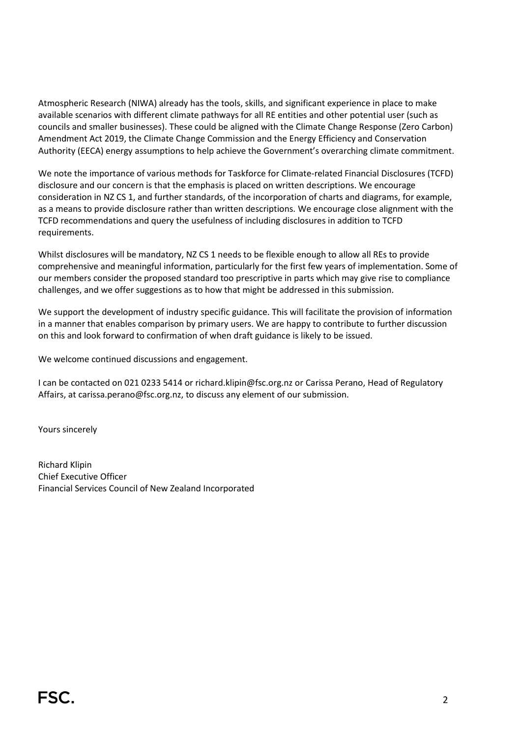Atmospheric Research (NIWA) already has the tools, skills, and significant experience in place to make available scenarios with different climate pathways for all RE entities and other potential user (such as councils and smaller businesses). These could be aligned with the Climate Change Response (Zero Carbon) Amendment Act 2019, the Climate Change Commission and the Energy Efficiency and Conservation Authority (EECA) energy assumptions to help achieve the Government's overarching climate commitment.

We note the importance of various methods for Taskforce for Climate-related Financial Disclosures (TCFD) disclosure and our concern is that the emphasis is placed on written descriptions. We encourage consideration in NZ CS 1, and further standards, of the incorporation of charts and diagrams, for example, as a means to provide disclosure rather than written descriptions. We encourage close alignment with the TCFD recommendations and query the usefulness of including disclosures in addition to TCFD requirements.

Whilst disclosures will be mandatory, NZ CS 1 needs to be flexible enough to allow all REs to provide comprehensive and meaningful information, particularly for the first few years of implementation. Some of our members consider the proposed standard too prescriptive in parts which may give rise to compliance challenges, and we offer suggestions as to how that might be addressed in this submission.

We support the development of industry specific guidance. This will facilitate the provision of information in a manner that enables comparison by primary users. We are happy to contribute to further discussion on this and look forward to confirmation of when draft guidance is likely to be issued.

We welcome continued discussions and engagement.

I can be contacted on 021 0233 5414 or richard.klipin@fsc.org.nz or Carissa Perano, Head of Regulatory Affairs, at [carissa.perano@fsc.org.nz,](mailto:carissa.perano@fsc.org.nz) to discuss any element of our submission.

Yours sincerely

Richard Klipin Chief Executive Officer Financial Services Council of New Zealand Incorporated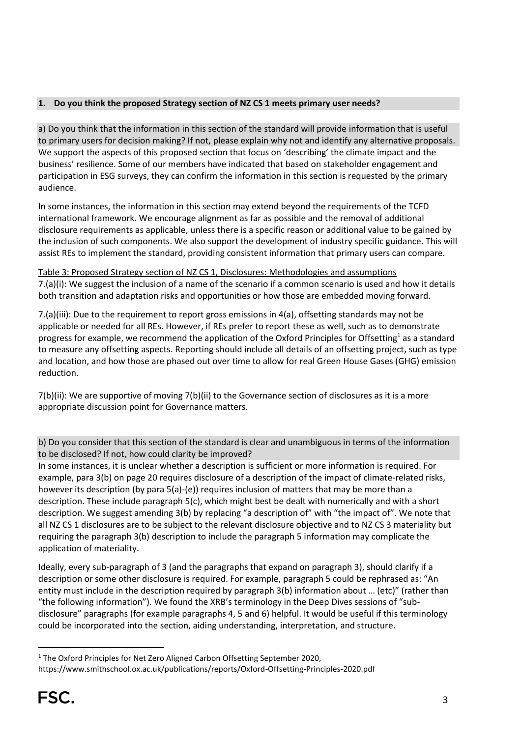## **1. Do you think the proposed Strategy section of NZ CS 1 meets primary user needs?**

a) Do you think that the information in this section of the standard will provide information that is useful to primary users for decision making? If not, please explain why not and identify any alternative proposals. We support the aspects of this proposed section that focus on 'describing' the climate impact and the business' resilience. Some of our members have indicated that based on stakeholder engagement and participation in ESG surveys, they can confirm the information in this section is requested by the primary audience.

In some instances, the information in this section may extend beyond the requirements of the TCFD international framework. We encourage alignment as far as possible and the removal of additional disclosure requirements as applicable, unless there is a specific reason or additional value to be gained by the inclusion of such components. We also support the development of industry specific guidance. This will assist REs to implement the standard, providing consistent information that primary users can compare.

Table 3: Proposed Strategy section of NZ CS 1, Disclosures: Methodologies and assumptions 7.(a)(i): We suggest the inclusion of a name of the scenario if a common scenario is used and how it details both transition and adaptation risks and opportunities or how those are embedded moving forward.

7.(a)(iii): Due to the requirement to report gross emissions in  $4(a)$ , offsetting standards may not be applicable or needed for all REs. However, if REs prefer to report these as well, such as to demonstrate progress for example, we recommend the application of the Oxford Principles for Offsetting<sup>1</sup> as a standard to measure any offsetting aspects. Reporting should include all details of an offsetting project, such as type and location, and how those are phased out over time to allow for real Green House Gases (GHG) emission reduction.

7(b)(ii): We are supportive of moving 7(b)(ii) to the Governance section of disclosures as it is a more appropriate discussion point for Governance matters.

b) Do you consider that this section of the standard is clear and unambiguous in terms of the information to be disclosed? If not, how could clarity be improved?

In some instances, it is unclear whether a description is sufficient or more information is required. For example, para 3(b) on page 20 requires disclosure of a description of the impact of climate-related risks, however its description (by para 5(a)-(e)) requires inclusion of matters that may be more than a description. These include paragraph 5(c), which might best be dealt with numerically and with a short description. We suggest amending 3(b) by replacing "a description of" with "the impact of". We note that all NZ CS 1 disclosures are to be subject to the relevant disclosure objective and to NZ CS 3 materiality but requiring the paragraph 3(b) description to include the paragraph 5 information may complicate the application of materiality.

Ideally, every sub-paragraph of 3 (and the paragraphs that expand on paragraph 3), should clarify if a description or some other disclosure is required. For example, paragraph 5 could be rephrased as: "An entity must include in the description required by paragraph 3(b) information about … (etc)" (rather than "the following information"). We found the XRB's terminology in the Deep Dives sessions of "subdisclosure" paragraphs (for example paragraphs 4, 5 and 6) helpful. It would be useful if this terminology could be incorporated into the section, aiding understanding, interpretation, and structure.

<sup>&</sup>lt;sup>1</sup> The Oxford Principles for Net Zero Aligned Carbon Offsetting September 2020,

https://www.smithschool.ox.ac.uk/publications/reports/Oxford-Offsetting-Principles-2020.pdf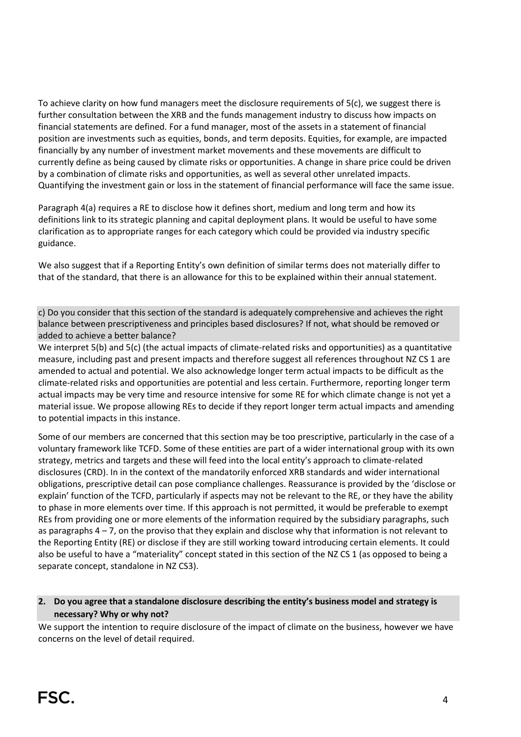To achieve clarity on how fund managers meet the disclosure requirements of 5(c), we suggest there is further consultation between the XRB and the funds management industry to discuss how impacts on financial statements are defined. For a fund manager, most of the assets in a statement of financial position are investments such as equities, bonds, and term deposits. Equities, for example, are impacted financially by any number of investment market movements and these movements are difficult to currently define as being caused by climate risks or opportunities. A change in share price could be driven by a combination of climate risks and opportunities, as well as several other unrelated impacts. Quantifying the investment gain or loss in the statement of financial performance will face the same issue.

Paragraph 4(a) requires a RE to disclose how it defines short, medium and long term and how its definitions link to its strategic planning and capital deployment plans. It would be useful to have some clarification as to appropriate ranges for each category which could be provided via industry specific guidance.

We also suggest that if a Reporting Entity's own definition of similar terms does not materially differ to that of the standard, that there is an allowance for this to be explained within their annual statement.

c) Do you consider that this section of the standard is adequately comprehensive and achieves the right balance between prescriptiveness and principles based disclosures? If not, what should be removed or added to achieve a better balance?

We interpret 5(b) and 5(c) (the actual impacts of climate-related risks and opportunities) as a quantitative measure, including past and present impacts and therefore suggest all references throughout NZ CS 1 are amended to actual and potential. We also acknowledge longer term actual impacts to be difficult as the climate-related risks and opportunities are potential and less certain. Furthermore, reporting longer term actual impacts may be very time and resource intensive for some RE for which climate change is not yet a material issue. We propose allowing REs to decide if they report longer term actual impacts and amending to potential impacts in this instance.

Some of our members are concerned that this section may be too prescriptive, particularly in the case of a voluntary framework like TCFD. Some of these entities are part of a wider international group with its own strategy, metrics and targets and these will feed into the local entity's approach to climate-related disclosures (CRD). In in the context of the mandatorily enforced XRB standards and wider international obligations, prescriptive detail can pose compliance challenges. Reassurance is provided by the 'disclose or explain' function of the TCFD, particularly if aspects may not be relevant to the RE, or they have the ability to phase in more elements over time. If this approach is not permitted, it would be preferable to exempt REs from providing one or more elements of the information required by the subsidiary paragraphs, such as paragraphs  $4 - 7$ , on the proviso that they explain and disclose why that information is not relevant to the Reporting Entity (RE) or disclose if they are still working toward introducing certain elements. It could also be useful to have a "materiality" concept stated in this section of the NZ CS 1 (as opposed to being a separate concept, standalone in NZ CS3).

## **2. Do you agree that a standalone disclosure describing the entity's business model and strategy is necessary? Why or why not?**

We support the intention to require disclosure of the impact of climate on the business, however we have concerns on the level of detail required.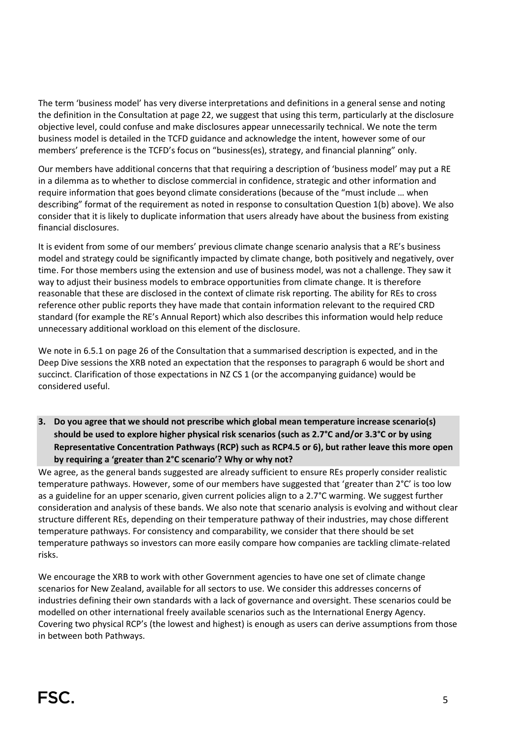The term 'business model' has very diverse interpretations and definitions in a general sense and noting the definition in the Consultation at page 22, we suggest that using this term, particularly at the disclosure objective level, could confuse and make disclosures appear unnecessarily technical. We note the term business model is detailed in the TCFD guidance and acknowledge the intent, however some of our members' preference is the TCFD's focus on "business(es), strategy, and financial planning" only.

Our members have additional concerns that that requiring a description of 'business model' may put a RE in a dilemma as to whether to disclose commercial in confidence, strategic and other information and require information that goes beyond climate considerations (because of the "must include … when describing" format of the requirement as noted in response to consultation Question 1(b) above). We also consider that it is likely to duplicate information that users already have about the business from existing financial disclosures.

It is evident from some of our members' previous climate change scenario analysis that a RE's business model and strategy could be significantly impacted by climate change, both positively and negatively, over time. For those members using the extension and use of business model, was not a challenge. They saw it way to adjust their business models to embrace opportunities from climate change. It is therefore reasonable that these are disclosed in the context of climate risk reporting. The ability for REs to cross reference other public reports they have made that contain information relevant to the required CRD standard (for example the RE's Annual Report) which also describes this information would help reduce unnecessary additional workload on this element of the disclosure.

We note in 6.5.1 on page 26 of the Consultation that a summarised description is expected, and in the Deep Dive sessions the XRB noted an expectation that the responses to paragraph 6 would be short and succinct. Clarification of those expectations in NZ CS 1 (or the accompanying guidance) would be considered useful.

**3. Do you agree that we should not prescribe which global mean temperature increase scenario(s) should be used to explore higher physical risk scenarios (such as 2.7°C and/or 3.3°C or by using Representative Concentration Pathways (RCP) such as RCP4.5 or 6), but rather leave this more open by requiring a 'greater than 2°C scenario'? Why or why not?**

We agree, as the general bands suggested are already sufficient to ensure REs properly consider realistic temperature pathways. However, some of our members have suggested that 'greater than 2°C' is too low as a guideline for an upper scenario, given current policies align to a 2.7°C warming. We suggest further consideration and analysis of these bands. We also note that scenario analysis is evolving and without clear structure different REs, depending on their temperature pathway of their industries, may chose different temperature pathways. For consistency and comparability, we consider that there should be set temperature pathways so investors can more easily compare how companies are tackling climate-related risks.

We encourage the XRB to work with other Government agencies to have one set of climate change scenarios for New Zealand, available for all sectors to use. We consider this addresses concerns of industries defining their own standards with a lack of governance and oversight. These scenarios could be modelled on other international freely available scenarios such as the International Energy Agency. Covering two physical RCP's (the lowest and highest) is enough as users can derive assumptions from those in between both Pathways.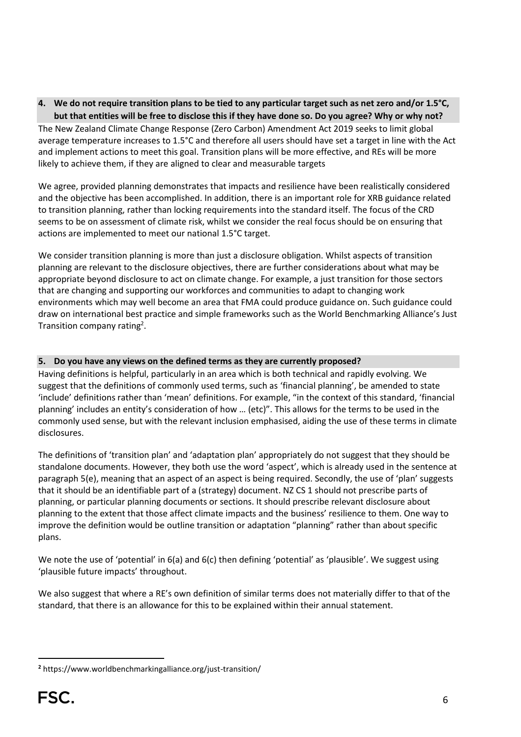**4. We do not require transition plans to be tied to any particular target such as net zero and/or 1.5°C, but that entities will be free to disclose this if they have done so. Do you agree? Why or why not?** The New Zealand Climate Change Response (Zero Carbon) Amendment Act 2019 seeks to limit global average temperature increases to 1.5°C and therefore all users should have set a target in line with the Act and implement actions to meet this goal. Transition plans will be more effective, and REs will be more

We agree, provided planning demonstrates that impacts and resilience have been realistically considered and the objective has been accomplished. In addition, there is an important role for XRB guidance related to transition planning, rather than locking requirements into the standard itself. The focus of the CRD seems to be on assessment of climate risk, whilst we consider the real focus should be on ensuring that actions are implemented to meet our national 1.5°C target.

We consider transition planning is more than just a disclosure obligation. Whilst aspects of transition planning are relevant to the disclosure objectives, there are further considerations about what may be appropriate beyond disclosure to act on climate change. For example, a just transition for those sectors that are changing and supporting our workforces and communities to adapt to changing work environments which may well become an area that FMA could produce guidance on. Such guidance could draw on international best practice and simple frameworks such as the World Benchmarking Alliance's Just Transition company rating<sup>2</sup>.

# **5. Do you have any views on the defined terms as they are currently proposed?**

likely to achieve them, if they are aligned to clear and measurable targets

Having definitions is helpful, particularly in an area which is both technical and rapidly evolving. We suggest that the definitions of commonly used terms, such as 'financial planning', be amended to state 'include' definitions rather than 'mean' definitions. For example, "in the context of this standard, 'financial planning' includes an entity's consideration of how … (etc)". This allows for the terms to be used in the commonly used sense, but with the relevant inclusion emphasised, aiding the use of these terms in climate disclosures.

The definitions of 'transition plan' and 'adaptation plan' appropriately do not suggest that they should be standalone documents. However, they both use the word 'aspect', which is already used in the sentence at paragraph 5(e), meaning that an aspect of an aspect is being required. Secondly, the use of 'plan' suggests that it should be an identifiable part of a (strategy) document. NZ CS 1 should not prescribe parts of planning, or particular planning documents or sections. It should prescribe relevant disclosure about planning to the extent that those affect climate impacts and the business' resilience to them. One way to improve the definition would be outline transition or adaptation "planning" rather than about specific plans.

We note the use of 'potential' in 6(a) and 6(c) then defining 'potential' as 'plausible'. We suggest using 'plausible future impacts' throughout.

We also suggest that where a RE's own definition of similar terms does not materially differ to that of the standard, that there is an allowance for this to be explained within their annual statement.

**<sup>2</sup>** https://www.worldbenchmarkingalliance.org/just-transition/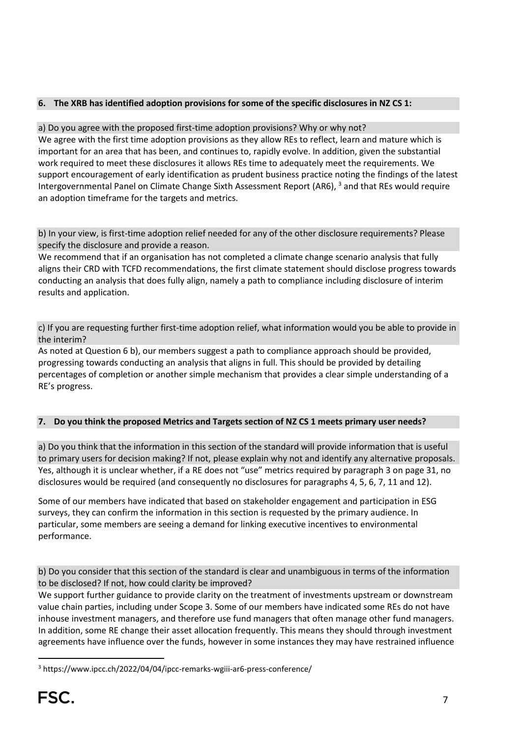## **6. The XRB has identified adoption provisions for some of the specific disclosures in NZ CS 1:**

### a) Do you agree with the proposed first-time adoption provisions? Why or why not?

We agree with the first time adoption provisions as they allow REs to reflect, learn and mature which is important for an area that has been, and continues to, rapidly evolve. In addition, given the substantial work required to meet these disclosures it allows REs time to adequately meet the requirements. We support encouragement of early identification as prudent business practice noting the findings of the latest Intergovernmental Panel on Climate Change Sixth Assessment Report (AR6), <sup>3</sup> and that REs would require an adoption timeframe for the targets and metrics.

b) In your view, is first-time adoption relief needed for any of the other disclosure requirements? Please specify the disclosure and provide a reason.

We recommend that if an organisation has not completed a climate change scenario analysis that fully aligns their CRD with TCFD recommendations, the first climate statement should disclose progress towards conducting an analysis that does fully align, namely a path to compliance including disclosure of interim results and application.

c) If you are requesting further first-time adoption relief, what information would you be able to provide in the interim?

As noted at Question 6 b), our members suggest a path to compliance approach should be provided, progressing towards conducting an analysis that aligns in full. This should be provided by detailing percentages of completion or another simple mechanism that provides a clear simple understanding of a RE's progress.

### **7. Do you think the proposed Metrics and Targets section of NZ CS 1 meets primary user needs?**

a) Do you think that the information in this section of the standard will provide information that is useful to primary users for decision making? If not, please explain why not and identify any alternative proposals. Yes, although it is unclear whether, if a RE does not "use" metrics required by paragraph 3 on page 31, no disclosures would be required (and consequently no disclosures for paragraphs 4, 5, 6, 7, 11 and 12).

Some of our members have indicated that based on stakeholder engagement and participation in ESG surveys, they can confirm the information in this section is requested by the primary audience. In particular, some members are seeing a demand for linking executive incentives to environmental performance.

b) Do you consider that this section of the standard is clear and unambiguous in terms of the information to be disclosed? If not, how could clarity be improved?

We support further guidance to provide clarity on the treatment of investments upstream or downstream value chain parties, including under Scope 3. Some of our members have indicated some REs do not have inhouse investment managers, and therefore use fund managers that often manage other fund managers. In addition, some RE change their asset allocation frequently. This means they should through investment agreements have influence over the funds, however in some instances they may have restrained influence

<sup>3</sup> https://www.ipcc.ch/2022/04/04/ipcc-remarks-wgiii-ar6-press-conference/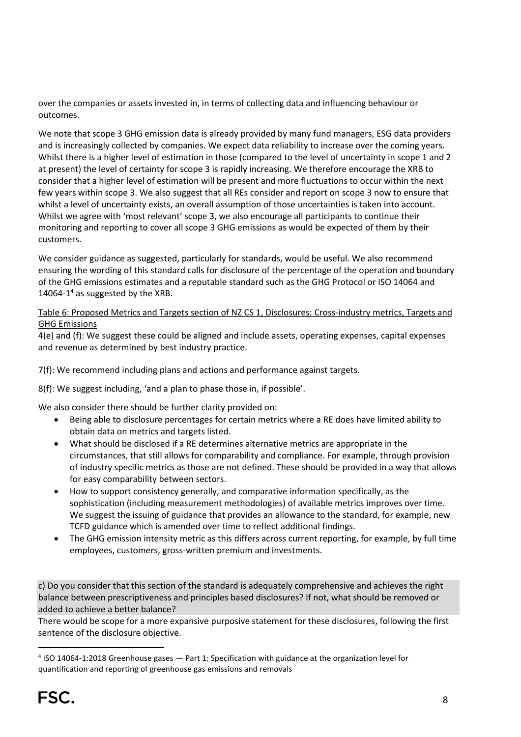over the companies or assets invested in, in terms of collecting data and influencing behaviour or outcomes.

We note that scope 3 GHG emission data is already provided by many fund managers, ESG data providers and is increasingly collected by companies. We expect data reliability to increase over the coming years. Whilst there is a higher level of estimation in those (compared to the level of uncertainty in scope 1 and 2 at present) the level of certainty for scope 3 is rapidly increasing. We therefore encourage the XRB to consider that a higher level of estimation will be present and more fluctuations to occur within the next few years within scope 3. We also suggest that all REs consider and report on scope 3 now to ensure that whilst a level of uncertainty exists, an overall assumption of those uncertainties is taken into account. Whilst we agree with 'most relevant' scope 3, we also encourage all participants to continue their monitoring and reporting to cover all scope 3 GHG emissions as would be expected of them by their customers.

We consider guidance as suggested, particularly for standards, would be useful. We also recommend ensuring the wording of this standard calls for disclosure of the percentage of the operation and boundary of the GHG emissions estimates and a reputable standard such as the GHG Protocol or ISO 14064 and 14064-1 <sup>4</sup> as suggested by the XRB.

## Table 6: Proposed Metrics and Targets section of NZ CS 1, Disclosures: Cross-industry metrics, Targets and GHG Emissions

4(e) and (f): We suggest these could be aligned and include assets, operating expenses, capital expenses and revenue as determined by best industry practice.

7(f): We recommend including plans and actions and performance against targets.

8(f): We suggest including, 'and a plan to phase those in, if possible'.

We also consider there should be further clarity provided on:

- Being able to disclosure percentages for certain metrics where a RE does have limited ability to obtain data on metrics and targets listed.
- What should be disclosed if a RE determines alternative metrics are appropriate in the circumstances, that still allows for comparability and compliance. For example, through provision of industry specific metrics as those are not defined. These should be provided in a way that allows for easy comparability between sectors.
- How to support consistency generally, and comparative information specifically, as the sophistication (including measurement methodologies) of available metrics improves over time. We suggest the issuing of guidance that provides an allowance to the standard, for example, new TCFD guidance which is amended over time to reflect additional findings.
- The GHG emission intensity metric as this differs across current reporting, for example, by full time employees, customers, gross-written premium and investments.

c) Do you consider that this section of the standard is adequately comprehensive and achieves the right balance between prescriptiveness and principles based disclosures? If not, what should be removed or added to achieve a better balance?

There would be scope for a more expansive purposive statement for these disclosures, following the first sentence of the disclosure objective.

<sup>&</sup>lt;sup>4</sup> ISO 14064-1:2018 Greenhouse gases — Part 1: Specification with guidance at the organization level for quantification and reporting of greenhouse gas emissions and removals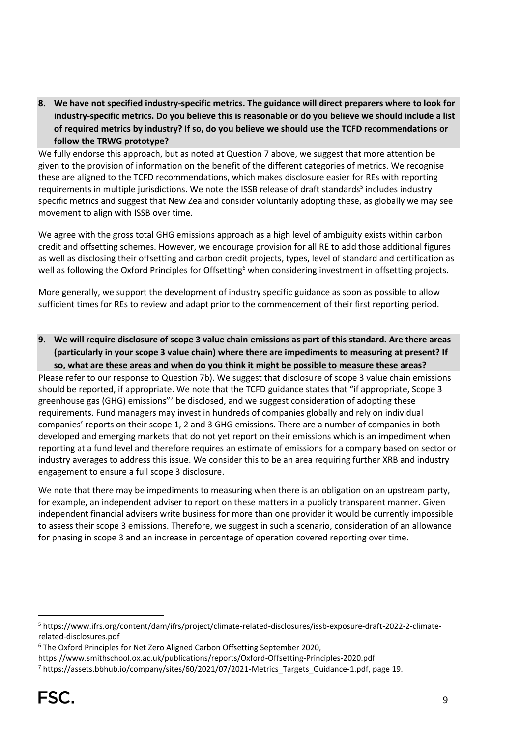**8. We have not specified industry-specific metrics. The guidance will direct preparers where to look for industry-specific metrics. Do you believe this is reasonable or do you believe we should include a list of required metrics by industry? If so, do you believe we should use the TCFD recommendations or follow the TRWG prototype?**

We fully endorse this approach, but as noted at Question 7 above, we suggest that more attention be given to the provision of information on the benefit of the different categories of metrics. We recognise these are aligned to the TCFD recommendations, which makes disclosure easier for REs with reporting requirements in multiple jurisdictions. We note the ISSB release of draft standards<sup>5</sup> includes industry specific metrics and suggest that New Zealand consider voluntarily adopting these, as globally we may see movement to align with ISSB over time.

We agree with the gross total GHG emissions approach as a high level of ambiguity exists within carbon credit and offsetting schemes. However, we encourage provision for all RE to add those additional figures as well as disclosing their offsetting and carbon credit projects, types, level of standard and certification as well as following the Oxford Principles for Offsetting<sup>6</sup> when considering investment in offsetting projects.

More generally, we support the development of industry specific guidance as soon as possible to allow sufficient times for REs to review and adapt prior to the commencement of their first reporting period.

**9. We will require disclosure of scope 3 value chain emissions as part of this standard. Are there areas (particularly in your scope 3 value chain) where there are impediments to measuring at present? If so, what are these areas and when do you think it might be possible to measure these areas?**

Please refer to our response to Question 7b). We suggest that disclosure of scope 3 value chain emissions should be reported, if appropriate. We note that the TCFD guidance states that "if appropriate, Scope 3 greenhouse gas (GHG) emissions"<sup>7</sup> be disclosed, and we suggest consideration of adopting these requirements. Fund managers may invest in hundreds of companies globally and rely on individual companies' reports on their scope 1, 2 and 3 GHG emissions. There are a number of companies in both developed and emerging markets that do not yet report on their emissions which is an impediment when reporting at a fund level and therefore requires an estimate of emissions for a company based on sector or industry averages to address this issue. We consider this to be an area requiring further XRB and industry engagement to ensure a full scope 3 disclosure.

We note that there may be impediments to measuring when there is an obligation on an upstream party, for example, an independent adviser to report on these matters in a publicly transparent manner. Given independent financial advisers write business for more than one provider it would be currently impossible to assess their scope 3 emissions. Therefore, we suggest in such a scenario, consideration of an allowance for phasing in scope 3 and an increase in percentage of operation covered reporting over time.

<sup>5</sup> https://www.ifrs.org/content/dam/ifrs/project/climate-related-disclosures/issb-exposure-draft-2022-2-climaterelated-disclosures.pdf

<sup>6</sup> The Oxford Principles for Net Zero Aligned Carbon Offsetting September 2020,

https://www.smithschool.ox.ac.uk/publications/reports/Oxford-Offsetting-Principles-2020.pdf

<sup>&</sup>lt;sup>7</sup> [https://assets.bbhub.io/company/sites/60/2021/07/2021-Metrics\\_Targets\\_Guidance-1.pdf,](https://assets.bbhub.io/company/sites/60/2021/07/2021-Metrics_Targets_Guidance-1.pdf) page 19.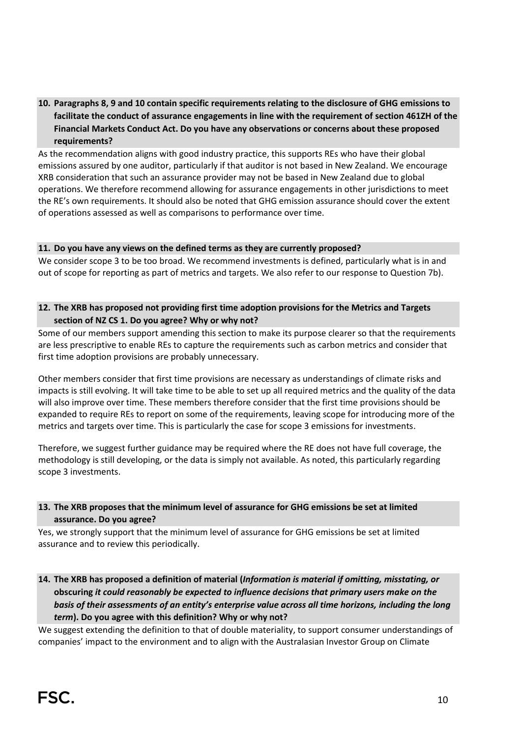# **10. Paragraphs 8, 9 and 10 contain specific requirements relating to the disclosure of GHG emissions to facilitate the conduct of assurance engagements in line with the requirement of section 461ZH of the Financial Markets Conduct Act. Do you have any observations or concerns about these proposed requirements?**

As the recommendation aligns with good industry practice, this supports REs who have their global emissions assured by one auditor, particularly if that auditor is not based in New Zealand. We encourage XRB consideration that such an assurance provider may not be based in New Zealand due to global operations. We therefore recommend allowing for assurance engagements in other jurisdictions to meet the RE's own requirements. It should also be noted that GHG emission assurance should cover the extent of operations assessed as well as comparisons to performance over time.

#### **11. Do you have any views on the defined terms as they are currently proposed?**

We consider scope 3 to be too broad. We recommend investments is defined, particularly what is in and out of scope for reporting as part of metrics and targets. We also refer to our response to Question 7b).

#### **12. The XRB has proposed not providing first time adoption provisions for the Metrics and Targets section of NZ CS 1. Do you agree? Why or why not?**

Some of our members support amending this section to make its purpose clearer so that the requirements are less prescriptive to enable REs to capture the requirements such as carbon metrics and consider that first time adoption provisions are probably unnecessary.

Other members consider that first time provisions are necessary as understandings of climate risks and impacts is still evolving. It will take time to be able to set up all required metrics and the quality of the data will also improve over time. These members therefore consider that the first time provisions should be expanded to require REs to report on some of the requirements, leaving scope for introducing more of the metrics and targets over time. This is particularly the case for scope 3 emissions for investments.

Therefore, we suggest further guidance may be required where the RE does not have full coverage, the methodology is still developing, or the data is simply not available. As noted, this particularly regarding scope 3 investments.

### **13. The XRB proposes that the minimum level of assurance for GHG emissions be set at limited assurance. Do you agree?**

Yes, we strongly support that the minimum level of assurance for GHG emissions be set at limited assurance and to review this periodically.

**14. The XRB has proposed a definition of material (***Information is material if omitting, misstating, or* **obscuring** *it could reasonably be expected to influence decisions that primary users make on the basis of their assessments of an entity's enterprise value across all time horizons, including the long term***). Do you agree with this definition? Why or why not?**

We suggest extending the definition to that of double materiality, to support consumer understandings of companies' impact to the environment and to align with the Australasian Investor Group on Climate